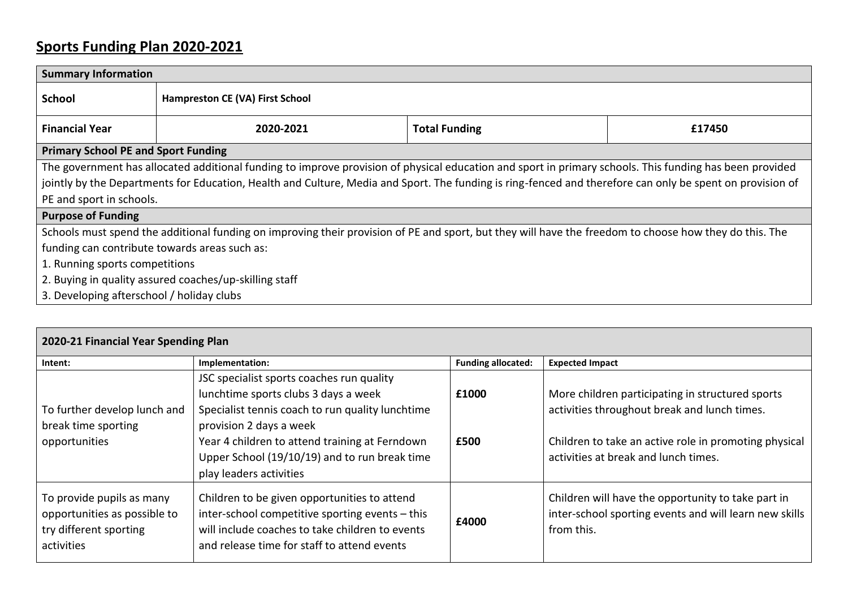## **Sports Funding Plan 2020-2021**

| <b>Summary Information</b>                                                                                                                                |                                 |                      |        |  |  |  |
|-----------------------------------------------------------------------------------------------------------------------------------------------------------|---------------------------------|----------------------|--------|--|--|--|
| <b>School</b>                                                                                                                                             | Hampreston CE (VA) First School |                      |        |  |  |  |
| <b>Financial Year</b>                                                                                                                                     | 2020-2021                       | <b>Total Funding</b> | £17450 |  |  |  |
| <b>Primary School PE and Sport Funding</b>                                                                                                                |                                 |                      |        |  |  |  |
| The government has allocated additional funding to improve provision of physical education and sport in primary schools. This funding has been provided   |                                 |                      |        |  |  |  |
| jointly by the Departments for Education, Health and Culture, Media and Sport. The funding is ring-fenced and therefore can only be spent on provision of |                                 |                      |        |  |  |  |
| PE and sport in schools.                                                                                                                                  |                                 |                      |        |  |  |  |
| <b>Purpose of Funding</b>                                                                                                                                 |                                 |                      |        |  |  |  |
| Schools must spend the additional funding on improving their provision of PE and sport, but they will have the freedom to choose how they do this. The    |                                 |                      |        |  |  |  |
| funding can contribute towards areas such as:                                                                                                             |                                 |                      |        |  |  |  |
| 1. Running sports competitions                                                                                                                            |                                 |                      |        |  |  |  |
| 2. Buying in quality assured coaches/up-skilling staff                                                                                                    |                                 |                      |        |  |  |  |
| 3. Developing afterschool / holiday clubs                                                                                                                 |                                 |                      |        |  |  |  |

| 2020-21 Financial Year Spending Plan                                                              |                                                                                                                                                                                                   |                           |                                                                                                                            |  |  |
|---------------------------------------------------------------------------------------------------|---------------------------------------------------------------------------------------------------------------------------------------------------------------------------------------------------|---------------------------|----------------------------------------------------------------------------------------------------------------------------|--|--|
| Intent:                                                                                           | Implementation:                                                                                                                                                                                   | <b>Funding allocated:</b> | <b>Expected Impact</b>                                                                                                     |  |  |
|                                                                                                   | JSC specialist sports coaches run quality                                                                                                                                                         |                           |                                                                                                                            |  |  |
|                                                                                                   | lunchtime sports clubs 3 days a week                                                                                                                                                              | £1000                     | More children participating in structured sports                                                                           |  |  |
| To further develop lunch and                                                                      | Specialist tennis coach to run quality lunchtime                                                                                                                                                  |                           | activities throughout break and lunch times.                                                                               |  |  |
| break time sporting                                                                               | provision 2 days a week                                                                                                                                                                           |                           |                                                                                                                            |  |  |
| opportunities                                                                                     | Year 4 children to attend training at Ferndown                                                                                                                                                    | £500                      | Children to take an active role in promoting physical                                                                      |  |  |
|                                                                                                   | Upper School (19/10/19) and to run break time                                                                                                                                                     |                           | activities at break and lunch times.                                                                                       |  |  |
|                                                                                                   | play leaders activities                                                                                                                                                                           |                           |                                                                                                                            |  |  |
| To provide pupils as many<br>opportunities as possible to<br>try different sporting<br>activities | Children to be given opportunities to attend<br>inter-school competitive sporting events - this<br>will include coaches to take children to events<br>and release time for staff to attend events | £4000                     | Children will have the opportunity to take part in<br>inter-school sporting events and will learn new skills<br>from this. |  |  |